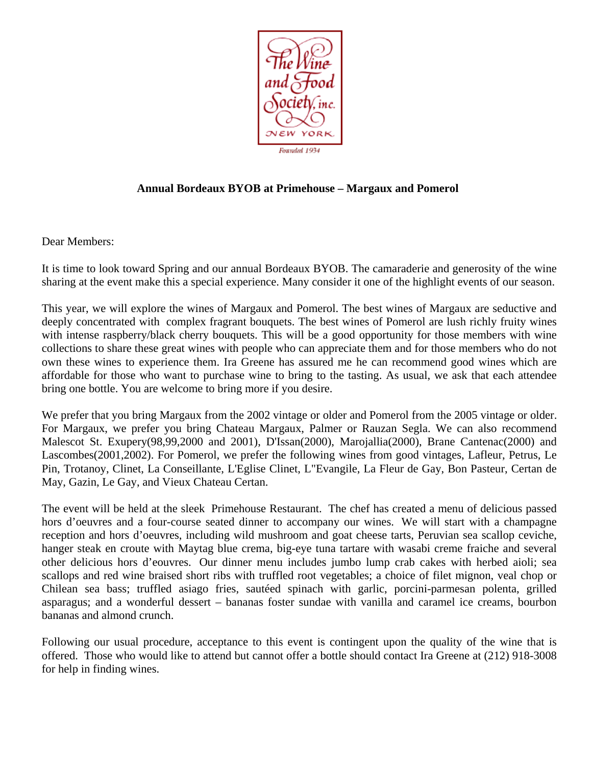

## **Annual Bordeaux BYOB at Primehouse – Margaux and Pomerol**

Dear Members:

It is time to look toward Spring and our annual Bordeaux BYOB. The camaraderie and generosity of the wine sharing at the event make this a special experience. Many consider it one of the highlight events of our season.

This year, we will explore the wines of Margaux and Pomerol. The best wines of Margaux are seductive and deeply concentrated with complex fragrant bouquets. The best wines of Pomerol are lush richly fruity wines with intense raspberry/black cherry bouquets. This will be a good opportunity for those members with wine collections to share these great wines with people who can appreciate them and for those members who do not own these wines to experience them. Ira Greene has assured me he can recommend good wines which are affordable for those who want to purchase wine to bring to the tasting. As usual, we ask that each attendee bring one bottle. You are welcome to bring more if you desire.

We prefer that you bring Margaux from the 2002 vintage or older and Pomerol from the 2005 vintage or older. For Margaux, we prefer you bring Chateau Margaux, Palmer or Rauzan Segla. We can also recommend Malescot St. Exupery(98,99,2000 and 2001), D'Issan(2000), Marojallia(2000), Brane Cantenac(2000) and Lascombes(2001,2002). For Pomerol, we prefer the following wines from good vintages, Lafleur, Petrus, Le Pin, Trotanoy, Clinet, La Conseillante, L'Eglise Clinet, L"Evangile, La Fleur de Gay, Bon Pasteur, Certan de May, Gazin, Le Gay, and Vieux Chateau Certan.

The event will be held at the sleek Primehouse Restaurant. The chef has created a menu of delicious passed hors d'oeuvres and a four-course seated dinner to accompany our wines. We will start with a champagne reception and hors d'oeuvres, including wild mushroom and goat cheese tarts, Peruvian sea scallop ceviche, hanger steak en croute with Maytag blue crema, big-eye tuna tartare with wasabi creme fraiche and several other delicious hors d'eouvres. Our dinner menu includes jumbo lump crab cakes with herbed aioli; sea scallops and red wine braised short ribs with truffled root vegetables; a choice of filet mignon, veal chop or Chilean sea bass; truffled asiago fries, sautéed spinach with garlic, porcini-parmesan polenta, grilled asparagus; and a wonderful dessert – bananas foster sundae with vanilla and caramel ice creams, bourbon bananas and almond crunch.

Following our usual procedure, acceptance to this event is contingent upon the quality of the wine that is offered. Those who would like to attend but cannot offer a bottle should contact Ira Greene at (212) 918-3008 for help in finding wines.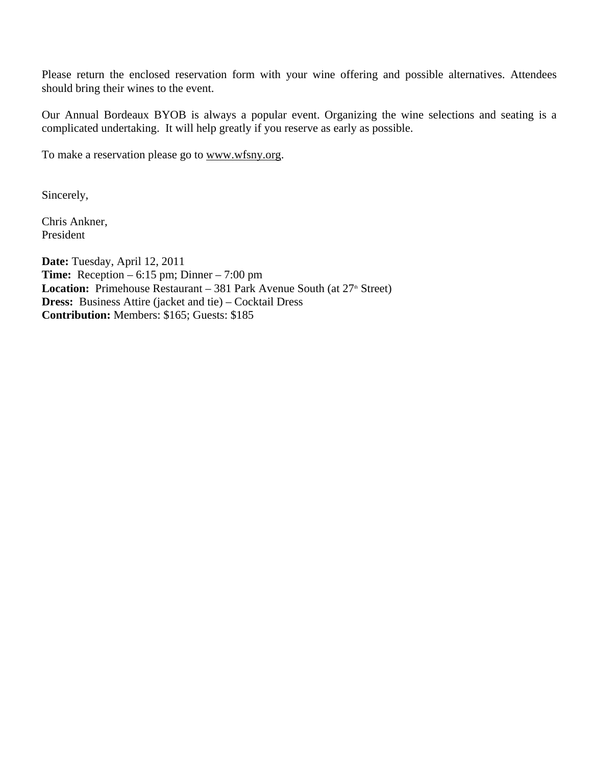Please return the enclosed reservation form with your wine offering and possible alternatives. Attendees should bring their wines to the event.

Our Annual Bordeaux BYOB is always a popular event. Organizing the wine selections and seating is a complicated undertaking. It will help greatly if you reserve as early as possible.

To make a reservation please go to www.wfsny.org.

Sincerely,

Chris Ankner, President

**Date:** Tuesday, April 12, 2011 **Time:** Reception – 6:15 pm; Dinner – 7:00 pm **Location:** Primehouse Restaurant – 381 Park Avenue South (at 27<sup>th</sup> Street) **Dress:** Business Attire (jacket and tie) – Cocktail Dress **Contribution:** Members: \$165; Guests: \$185